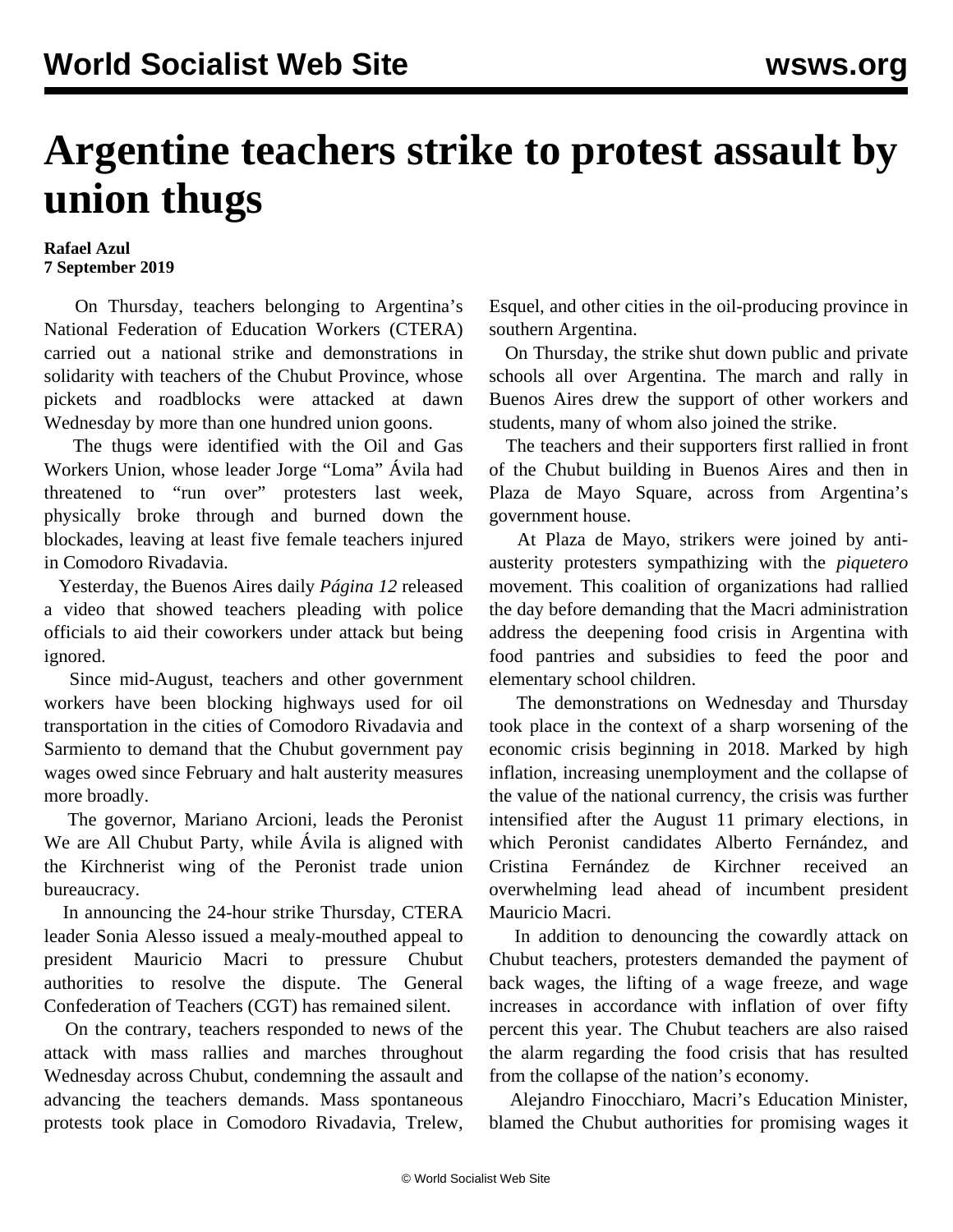## **Argentine teachers strike to protest assault by union thugs**

## **Rafael Azul 7 September 2019**

 On Thursday, teachers belonging to Argentina's National Federation of Education Workers (CTERA) carried out a national strike and demonstrations in solidarity with teachers of the Chubut Province, whose pickets and roadblocks were attacked at dawn Wednesday by more than one hundred union goons.

 The thugs were identified with the Oil and Gas Workers Union, whose leader Jorge "Loma" Ávila had threatened to "run over" protesters last week, physically broke through and burned down the blockades, leaving at least five female teachers injured in Comodoro Rivadavia.

 Yesterday, the Buenos Aires daily *Página 12* released a video that showed teachers pleading with police officials to aid their coworkers under attack but being ignored.

 Since mid-August, teachers and other government workers have been blocking highways used for oil transportation in the cities of Comodoro Rivadavia and Sarmiento to demand that the Chubut government pay wages owed since February and halt austerity measures more broadly.

 The governor, Mariano Arcioni, leads the Peronist We are All Chubut Party, while Ávila is aligned with the Kirchnerist wing of the Peronist trade union bureaucracy.

 In announcing the 24-hour strike Thursday, CTERA leader Sonia Alesso issued a mealy-mouthed appeal to president Mauricio Macri to pressure Chubut authorities to resolve the dispute. The General Confederation of Teachers (CGT) has remained silent.

 On the contrary, teachers responded to news of the attack with mass rallies and marches throughout Wednesday across Chubut, condemning the assault and advancing the teachers demands. Mass spontaneous protests took place in Comodoro Rivadavia, Trelew, Esquel, and other cities in the oil-producing province in southern Argentina.

 On Thursday, the strike shut down public and private schools all over Argentina. The march and rally in Buenos Aires drew the support of other workers and students, many of whom also joined the strike.

 The teachers and their supporters first rallied in front of the Chubut building in Buenos Aires and then in Plaza de Mayo Square, across from Argentina's government house.

 At Plaza de Mayo, strikers were joined by antiausterity protesters sympathizing with the *piquetero* movement. This coalition of organizations had rallied the day before demanding that the Macri administration address the deepening food crisis in Argentina with food pantries and subsidies to feed the poor and elementary school children.

 The demonstrations on Wednesday and Thursday took place in the context of a sharp worsening of the economic crisis beginning in 2018. Marked by high inflation, increasing unemployment and the collapse of the value of the national currency, the crisis was further intensified after the August 11 primary elections, in which Peronist candidates Alberto Fernández, and Cristina Fernández de Kirchner received an overwhelming lead ahead of incumbent president Mauricio Macri.

 In addition to denouncing the cowardly attack on Chubut teachers, protesters demanded the payment of back wages, the lifting of a wage freeze, and wage increases in accordance with inflation of over fifty percent this year. The Chubut teachers are also raised the alarm regarding the food crisis that has resulted from the collapse of the nation's economy.

 Alejandro Finocchiaro, Macri's Education Minister, blamed the Chubut authorities for promising wages it